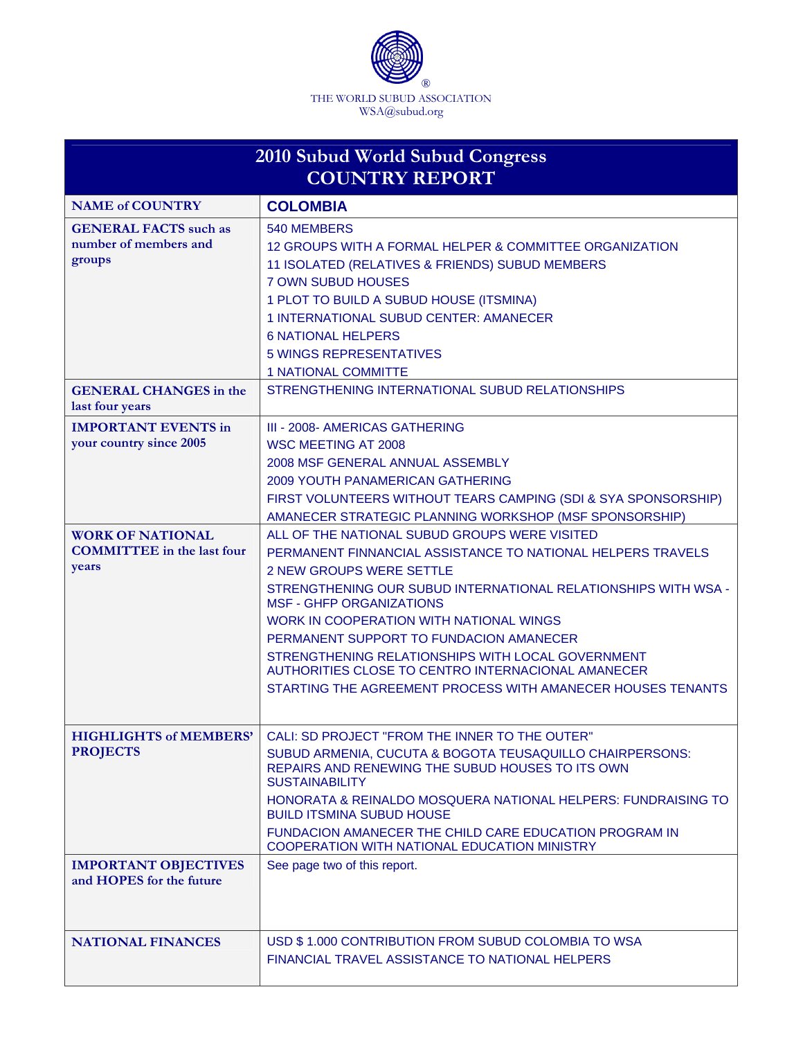

| 2010 Subud World Subud Congress<br><b>COUNTRY REPORT</b>              |                                                                                                                                                                                                                                                                                                                                                                                                                                                                                                                      |
|-----------------------------------------------------------------------|----------------------------------------------------------------------------------------------------------------------------------------------------------------------------------------------------------------------------------------------------------------------------------------------------------------------------------------------------------------------------------------------------------------------------------------------------------------------------------------------------------------------|
| <b>NAME of COUNTRY</b>                                                | <b>COLOMBIA</b>                                                                                                                                                                                                                                                                                                                                                                                                                                                                                                      |
| <b>GENERAL FACTS</b> such as<br>number of members and<br>groups       | 540 MEMBERS<br>12 GROUPS WITH A FORMAL HELPER & COMMITTEE ORGANIZATION<br>11 ISOLATED (RELATIVES & FRIENDS) SUBUD MEMBERS<br><b>7 OWN SUBUD HOUSES</b><br>1 PLOT TO BUILD A SUBUD HOUSE (ITSMINA)<br>1 INTERNATIONAL SUBUD CENTER: AMANECER<br><b>6 NATIONAL HELPERS</b><br><b>5 WINGS REPRESENTATIVES</b><br><b>1 NATIONAL COMMITTE</b>                                                                                                                                                                             |
| <b>GENERAL CHANGES</b> in the<br>last four years                      | STRENGTHENING INTERNATIONAL SUBUD RELATIONSHIPS                                                                                                                                                                                                                                                                                                                                                                                                                                                                      |
| <b>IMPORTANT EVENTS in</b><br>your country since 2005                 | III - 2008- AMERICAS GATHERING<br><b>WSC MEETING AT 2008</b><br>2008 MSF GENERAL ANNUAL ASSEMBLY<br><b>2009 YOUTH PANAMERICAN GATHERING</b><br>FIRST VOLUNTEERS WITHOUT TEARS CAMPING (SDI & SYA SPONSORSHIP)<br>AMANECER STRATEGIC PLANNING WORKSHOP (MSF SPONSORSHIP)                                                                                                                                                                                                                                              |
| <b>WORK OF NATIONAL</b><br><b>COMMITTEE</b> in the last four<br>years | ALL OF THE NATIONAL SUBUD GROUPS WERE VISITED<br>PERMANENT FINNANCIAL ASSISTANCE TO NATIONAL HELPERS TRAVELS<br><b>2 NEW GROUPS WERE SETTLE</b><br>STRENGTHENING OUR SUBUD INTERNATIONAL RELATIONSHIPS WITH WSA -<br><b>MSF - GHFP ORGANIZATIONS</b><br>WORK IN COOPERATION WITH NATIONAL WINGS<br>PERMANENT SUPPORT TO FUNDACION AMANECER<br>STRENGTHENING RELATIONSHIPS WITH LOCAL GOVERNMENT<br>AUTHORITIES CLOSE TO CENTRO INTERNACIONAL AMANECER<br>STARTING THE AGREEMENT PROCESS WITH AMANECER HOUSES TENANTS |
| <b>HIGHLIGHTS of MEMBERS'</b><br><b>PROJECTS</b>                      | CALI: SD PROJECT "FROM THE INNER TO THE OUTER"<br>SUBUD ARMENIA, CUCUTA & BOGOTA TEUSAQUILLO CHAIRPERSONS:<br>REPAIRS AND RENEWING THE SUBUD HOUSES TO ITS OWN<br><b>SUSTAINABILITY</b><br>HONORATA & REINALDO MOSQUERA NATIONAL HELPERS: FUNDRAISING TO<br><b>BUILD ITSMINA SUBUD HOUSE</b><br>FUNDACION AMANECER THE CHILD CARE EDUCATION PROGRAM IN<br>COOPERATION WITH NATIONAL EDUCATION MINISTRY                                                                                                               |
| <b>IMPORTANT OBJECTIVES</b><br>and HOPES for the future               | See page two of this report.                                                                                                                                                                                                                                                                                                                                                                                                                                                                                         |
| <b>NATIONAL FINANCES</b>                                              | USD \$1.000 CONTRIBUTION FROM SUBUD COLOMBIA TO WSA<br>FINANCIAL TRAVEL ASSISTANCE TO NATIONAL HELPERS                                                                                                                                                                                                                                                                                                                                                                                                               |